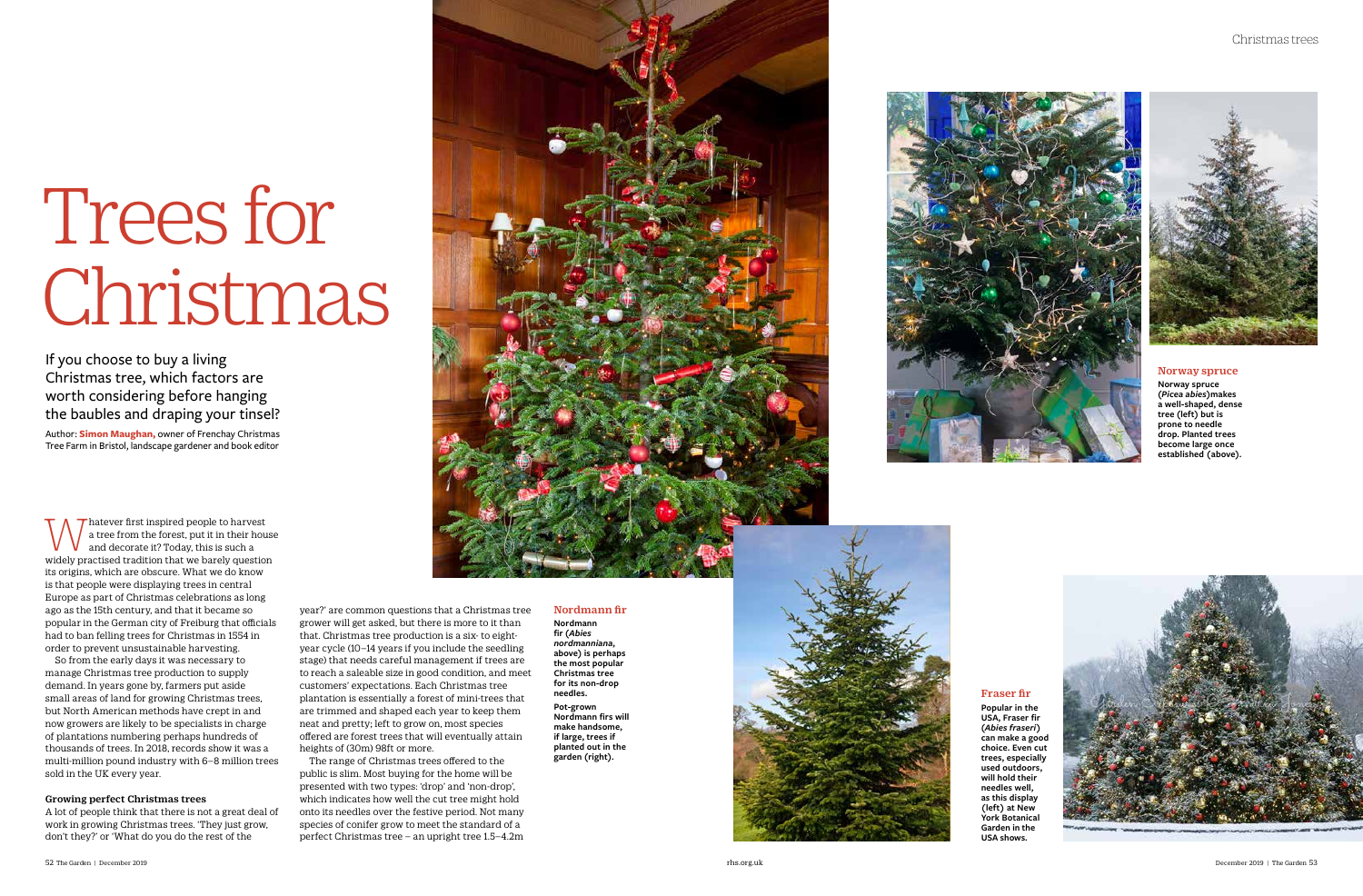

Whatever first inspired people to harvest<br>and decorate it? Today, this is such a<br>widely presting tradition that we be plus we stine a tree from the forest, put it in their house and decorate it? Today, this is such a widely practised tradition that we barely question its origins, which are obscure. What we do know is that people were displaying trees in central Europe as part of Christmas celebrations as long ago as the 15th century, and that it became so popular in the German city of Freiburg that officials had to ban felling trees for Christmas in 1554 in order to prevent unsustainable harvesting.

So from the early days it was necessary to manage Christmas tree production to supply demand. In years gone by, farmers put aside small areas of land for growing Christmas trees, but North American methods have crept in and now growers are likely to be specialists in charge of plantations numbering perhaps hundreds of thousands of trees. In 2018, records show it was a multi-million pound industry with 6–8 million trees sold in the UK every year.

# Growing perfect Christmas trees

A lot of people think that there is not a great deal of work in growing Christmas trees. 'They just grow, don't they?' or 'What do you do the rest of the

# Trees for Christmas

If you choose to buy a living Christmas tree, which factors are worth considering before hanging the baubles and draping your tinsel?

Author: **Simon Maughan,** owner of Frenchay Christmas Tree Farm in Bristol, landscape gardener and book editor

# Fraser fir

**Popular in the USA, Fraser fir (***Abies fraseri***) can make a good choice. Even cut trees, especially used outdoors, will hold their needles well, as this display (left) at New York Botanical Garden in the USA shows.**





# Nordmann fir

**Nordmann fir (***Abies nordmanniana***, above) is perhaps the most popular Christmas tree for its non-drop needles. Pot-grown Nordmann firs will make handsome, if large, trees if planted out in the garden (right).**

year?' are common questions that a Christmas tree grower will get asked, but there is more to it than that. Christmas tree production is a six- to eightyear cycle (10–14 years if you include the seedling stage) that needs careful management if trees are to reach a saleable size in good condition, and meet customers' expectations. Each Christmas tree plantation is essentially a forest of mini-trees that are trimmed and shaped each year to keep them neat and pretty; left to grow on, most species offered are forest trees that will eventually attain heights of (30m) 98ft or more.

The range of Christmas trees offered to the public is slim. Most buying for the home will be presented with two types: 'drop' and 'non-drop', which indicates how well the cut tree might hold onto its needles over the festive period. Not many species of conifer grow to meet the standard of a perfect Christmas tree – an upright tree 1.5–4.2m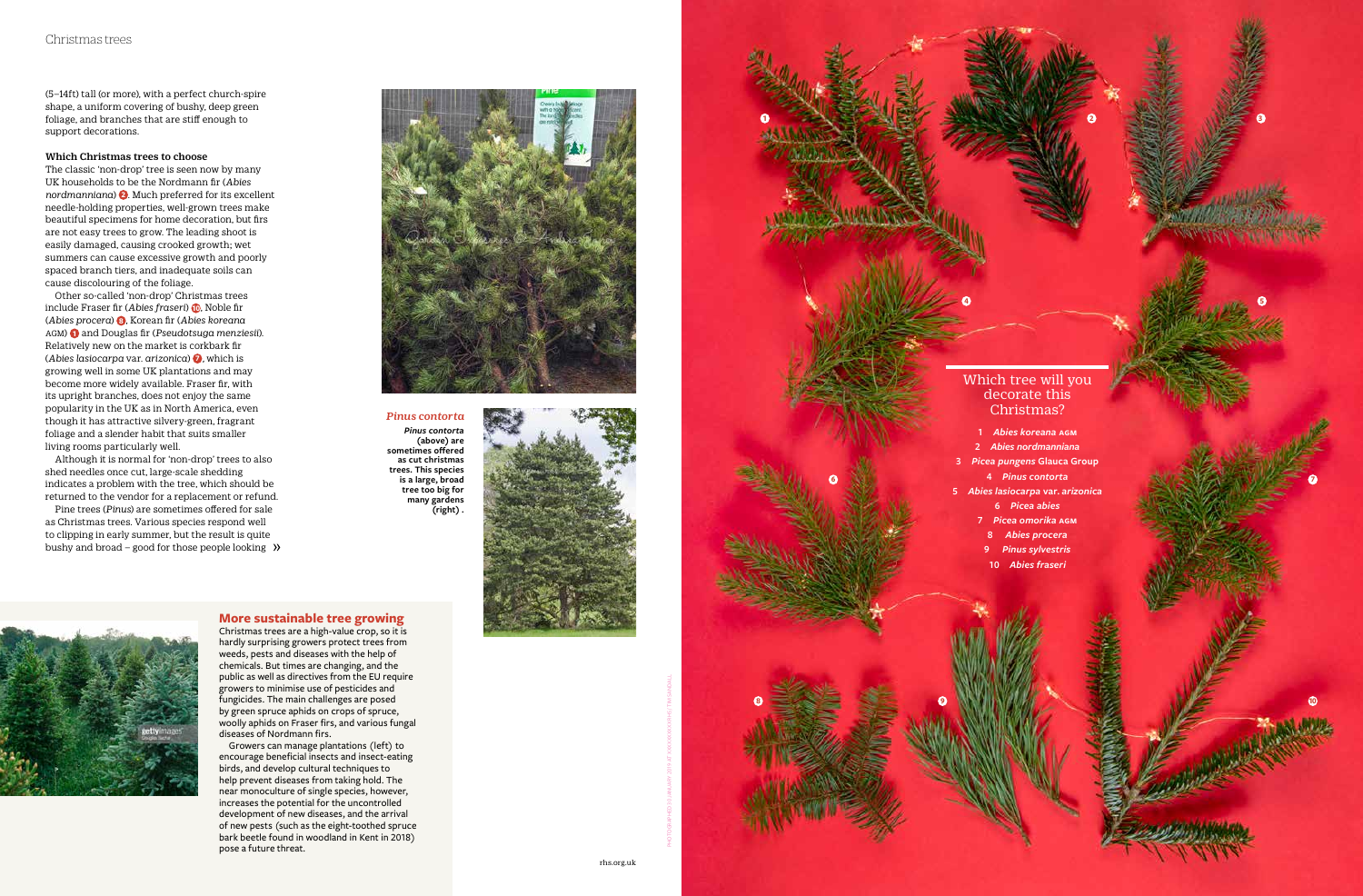# **More sustainable tree growing**

Christmas trees are a high-value crop, so it is hardly surprising growers protect trees from weeds, pests and diseases with the help of chemicals. But times are changing, and the public as well as directives from the EU require growers to minimise use of pesticides and fungicides. The main challenges are posed by green spruce aphids on crops of spruce, woolly aphids on Fraser firs, and various fungal diseases of Nordmann firs.

Growers can manage plantations (left) to encourage beneficial insects and insect-eating birds, and develop cultural techniques to help prevent diseases from taking hold. The near monoculture of single species, however, increases the potential for the uncontrolled development of new diseases, and the arrival of new pests (such as the eight-toothed spruce bark beetle found in woodland in Kent in 2018) pose a future threat.

(5–14ft) tall (or more), with a perfect church-spire shape, a uniform covering of bushy, deep green foliage, and branches that are stiff enough to support decorations.

# Which Christmas trees to choose

Pine trees (*Pinus*) are sometimes offered for sale as Christmas trees. Various species respond well to clipping in early summer, but the result is quite bushy and broad – good for those people looking  $\rightarrow$ 



The classic 'non-drop' tree is seen now by many UK households to be the Nordmann fir (*Abies nordmanniana* ) **2** . Much preferred for its excellent needle-holding properties, well-grown trees make beautiful specimens for home decoration, but firs are not easy trees to grow. The leading shoot is easily damaged, causing crooked growth; wet summers can cause excessive growth and poorly spaced branch tiers, and inadequate soils can cause discolouring of the foliage.

Other so-called 'non-drop' Christmas trees include Fraser fir (*Abies fraseri*) **10**, Noble fir (*Abies procera*) **<sup>8</sup>** , Korean fir (*Abies koreana*  agm) **1** and Douglas fir (*Pseudotsuga menziesii*). Relatively new on the market is corkbark fir (*Abies lasiocarpa* var. *arizonica*) **<sup>7</sup>** *,* which is growing well in some UK plantations and may become more widely available. Fraser fir, with its upright branches, does not enjoy the same popularity in the UK as in North America, even though it has attractive silvery-green, fragrant foliage and a slender habit that suits smaller living rooms particularly well.

Although it is normal for 'non-drop' trees to also shed needles once cut, large-scale shedding indicates a problem with the tree, which should be returned to the vendor for a replacement or refund.

# Which tree will you decorate this

Christmas?

**1** *Abies koreana* **agm**

- 
- 
- 
- 
- 
- 

 *Abies nordmanniana Picea pungens* **Glauca Group** *Pinus contorta Abies lasiocarpa* **var***. arizonica Picea abies Picea omorika* **agm** *Abies procera Pinus sylvestris Abies fraseri*

**9 INVESTIGATION CONTRACT SECOND CONTRACT OF A SECOND CONTRACT OF A SECOND CONTRACT OF A SECOND CONTRACT OF A SECOND CONTRACT OF A SECOND CONTRACT OF A SECOND CONTRACT OF A SECOND CONTRACT OF A SECOND CONTRACT OF A SECON** 

*Pinus contorta Pinus contorta*  **(above) are sometimes offered as cut christmas trees. This species is a large, broad tree too big for many gardens (right) .**





**1**

**2**

**3**

**4**

**5**

**6**

**17**

**8**

PHOTOGRAPHED 30 JANUARY 2019 AT XXXXXXXXXX RHS / TIM SANDALL